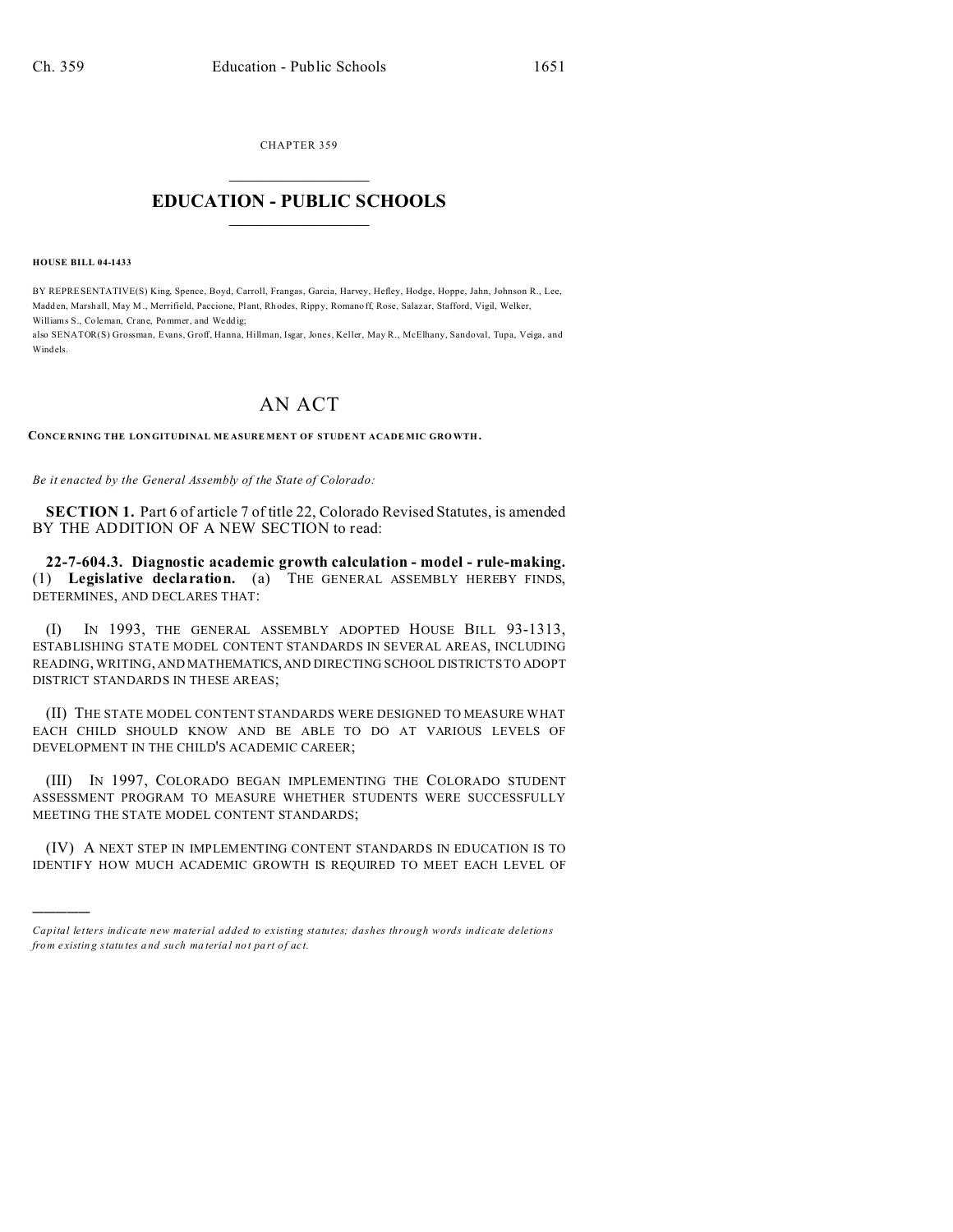CHAPTER 359  $\overline{\phantom{a}}$  , where  $\overline{\phantom{a}}$ 

## **EDUCATION - PUBLIC SCHOOLS**  $\_$   $\_$   $\_$   $\_$   $\_$   $\_$   $\_$   $\_$   $\_$

**HOUSE BILL 04-1433**

)))))

BY REPRESENTATIVE(S) King, Spence, Boyd, Carroll, Frangas, Garcia, Harvey, Hefley, Hodge, Hoppe, Jahn, Johnson R., Lee, Madden, Marshall, May M., Merrifield, Paccione, Plant, Rhodes, Rippy, Romano ff, Rose, Salazar, Stafford, Vigil, Welker, Williams S., Co leman, Crane, Pommer, and Wedd ig;

also SENATOR(S) Grossman, Evans, Groff, Hanna, Hillman, Isgar, Jones, Keller, May R., McElhany, Sandoval, Tupa, Veiga, and Windels.

## AN ACT

**CONCE RNING THE LONGITUDINAL ME ASURE MEN T OF STUDE NT ACADE MIC GRO WTH.**

*Be it enacted by the General Assembly of the State of Colorado:*

**SECTION 1.** Part 6 of article 7 of title 22, Colorado Revised Statutes, is amended BY THE ADDITION OF A NEW SECTION to read:

**22-7-604.3. Diagnostic academic growth calculation - model - rule-making.** (1) **Legislative declaration.** (a) THE GENERAL ASSEMBLY HEREBY FINDS, DETERMINES, AND DECLARES THAT:

(I) IN 1993, THE GENERAL ASSEMBLY ADOPTED HOUSE BILL 93-1313, ESTABLISHING STATE MODEL CONTENT STANDARDS IN SEVERAL AREAS, INCLUDING READING, WRITING, AND MATHEMATICS,AND DIRECTING SCHOOL DISTRICTS TO ADOPT DISTRICT STANDARDS IN THESE AREAS;

(II) THE STATE MODEL CONTENT STANDARDS WERE DESIGNED TO MEASURE WHAT EACH CHILD SHOULD KNOW AND BE ABLE TO DO AT VARIOUS LEVELS OF DEVELOPMENT IN THE CHILD'S ACADEMIC CAREER;

(III) IN 1997, COLORADO BEGAN IMPLEMENTING THE COLORADO STUDENT ASSESSMENT PROGRAM TO MEASURE WHETHER STUDENTS WERE SUCCESSFULLY MEETING THE STATE MODEL CONTENT STANDARDS;

(IV) A NEXT STEP IN IMPLEMENTING CONTENT STANDARDS IN EDUCATION IS TO IDENTIFY HOW MUCH ACADEMIC GROWTH IS REQUIRED TO MEET EACH LEVEL OF

*Capital letters indicate new material added to existing statutes; dashes through words indicate deletions from e xistin g statu tes a nd such ma teria l no t pa rt of ac t.*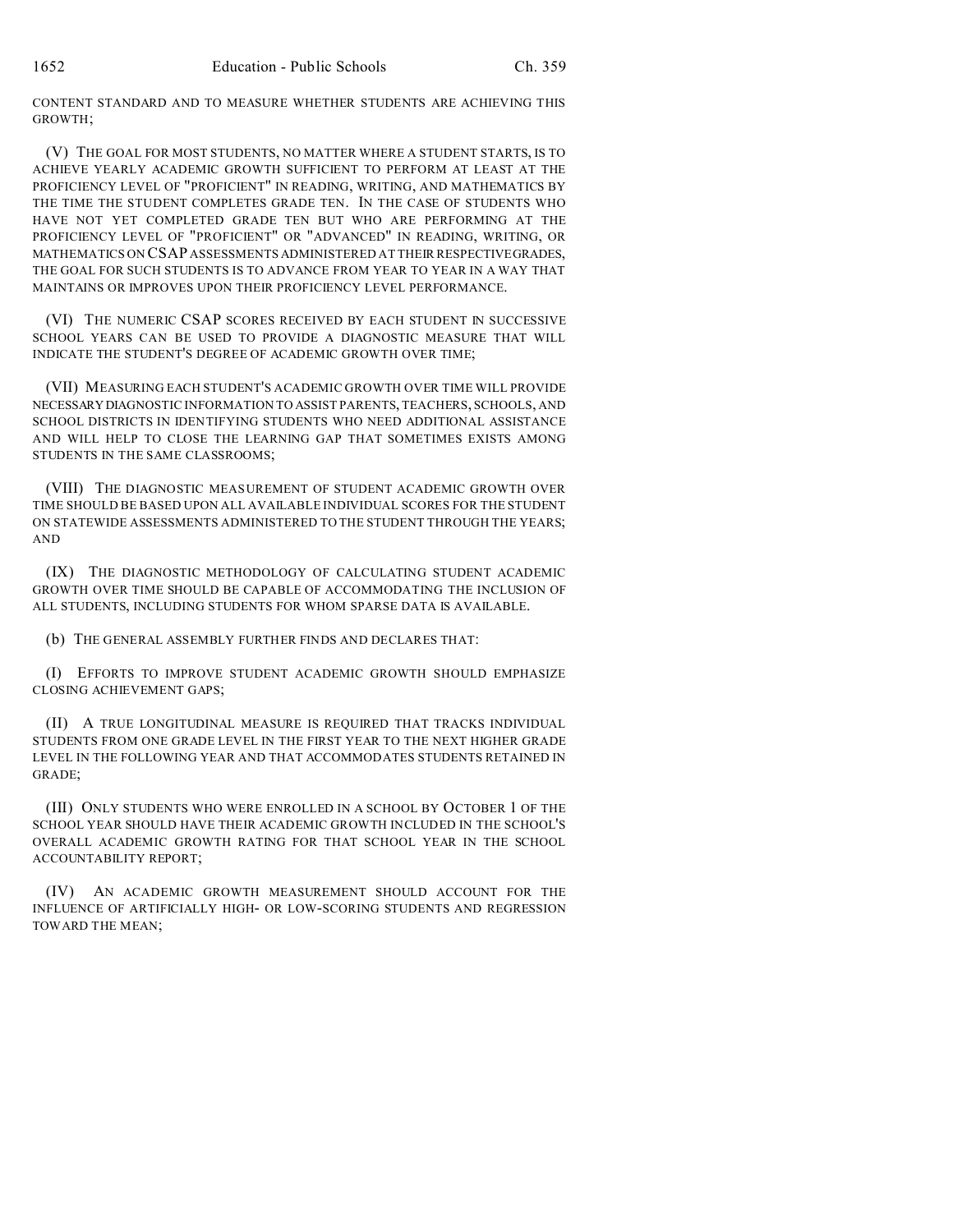CONTENT STANDARD AND TO MEASURE WHETHER STUDENTS ARE ACHIEVING THIS GROWTH;

(V) THE GOAL FOR MOST STUDENTS, NO MATTER WHERE A STUDENT STARTS, IS TO ACHIEVE YEARLY ACADEMIC GROWTH SUFFICIENT TO PERFORM AT LEAST AT THE PROFICIENCY LEVEL OF "PROFICIENT" IN READING, WRITING, AND MATHEMATICS BY THE TIME THE STUDENT COMPLETES GRADE TEN. IN THE CASE OF STUDENTS WHO HAVE NOT YET COMPLETED GRADE TEN BUT WHO ARE PERFORMING AT THE PROFICIENCY LEVEL OF "PROFICIENT" OR "ADVANCED" IN READING, WRITING, OR MATHEMATICS ON CSAP ASSESSMENTS ADMINISTERED AT THEIR RESPECTIVEGRADES, THE GOAL FOR SUCH STUDENTS IS TO ADVANCE FROM YEAR TO YEAR IN A WAY THAT MAINTAINS OR IMPROVES UPON THEIR PROFICIENCY LEVEL PERFORMANCE.

(VI) THE NUMERIC CSAP SCORES RECEIVED BY EACH STUDENT IN SUCCESSIVE SCHOOL YEARS CAN BE USED TO PROVIDE A DIAGNOSTIC MEASURE THAT WILL INDICATE THE STUDENT'S DEGREE OF ACADEMIC GROWTH OVER TIME;

(VII) MEASURING EACH STUDENT'S ACADEMIC GROWTH OVER TIME WILL PROVIDE NECESSARY DIAGNOSTIC INFORMATION TO ASSIST PARENTS, TEACHERS, SCHOOLS, AND SCHOOL DISTRICTS IN IDENTIFYING STUDENTS WHO NEED ADDITIONAL ASSISTANCE AND WILL HELP TO CLOSE THE LEARNING GAP THAT SOMETIMES EXISTS AMONG STUDENTS IN THE SAME CLASSROOMS;

(VIII) THE DIAGNOSTIC MEASUREMENT OF STUDENT ACADEMIC GROWTH OVER TIME SHOULD BE BASED UPON ALL AVAILABLE INDIVIDUAL SCORES FOR THE STUDENT ON STATEWIDE ASSESSMENTS ADMINISTERED TO THE STUDENT THROUGH THE YEARS; AND

(IX) THE DIAGNOSTIC METHODOLOGY OF CALCULATING STUDENT ACADEMIC GROWTH OVER TIME SHOULD BE CAPABLE OF ACCOMMODATING THE INCLUSION OF ALL STUDENTS, INCLUDING STUDENTS FOR WHOM SPARSE DATA IS AVAILABLE.

(b) THE GENERAL ASSEMBLY FURTHER FINDS AND DECLARES THAT:

(I) EFFORTS TO IMPROVE STUDENT ACADEMIC GROWTH SHOULD EMPHASIZE CLOSING ACHIEVEMENT GAPS;

(II) A TRUE LONGITUDINAL MEASURE IS REQUIRED THAT TRACKS INDIVIDUAL STUDENTS FROM ONE GRADE LEVEL IN THE FIRST YEAR TO THE NEXT HIGHER GRADE LEVEL IN THE FOLLOWING YEAR AND THAT ACCOMMODATES STUDENTS RETAINED IN GRADE;

(III) ONLY STUDENTS WHO WERE ENROLLED IN A SCHOOL BY OCTOBER 1 OF THE SCHOOL YEAR SHOULD HAVE THEIR ACADEMIC GROWTH INCLUDED IN THE SCHOOL'S OVERALL ACADEMIC GROWTH RATING FOR THAT SCHOOL YEAR IN THE SCHOOL ACCOUNTABILITY REPORT;

(IV) AN ACADEMIC GROWTH MEASUREMENT SHOULD ACCOUNT FOR THE INFLUENCE OF ARTIFICIALLY HIGH- OR LOW-SCORING STUDENTS AND REGRESSION TOWARD THE MEAN;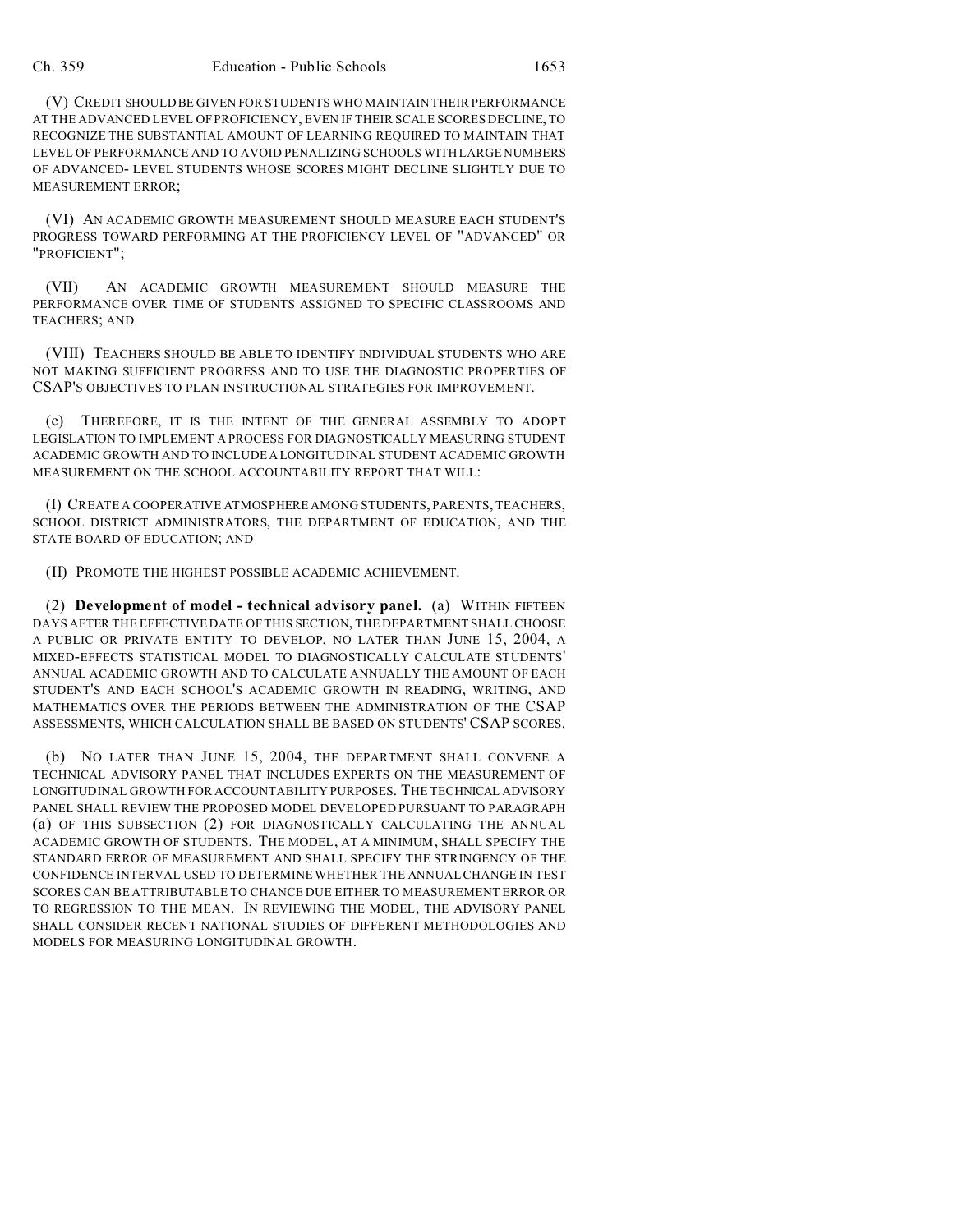(V) CREDIT SHOULD BE GIVEN FOR STUDENTS WHO MAINTAIN THEIR PERFORMANCE AT THE ADVANCED LEVEL OF PROFICIENCY, EVEN IF THEIR SCALE SCORES DECLINE, TO RECOGNIZE THE SUBSTANTIAL AMOUNT OF LEARNING REQUIRED TO MAINTAIN THAT LEVEL OF PERFORMANCE AND TO AVOID PENALIZING SCHOOLS WITH LARGE NUMBERS OF ADVANCED- LEVEL STUDENTS WHOSE SCORES MIGHT DECLINE SLIGHTLY DUE TO MEASUREMENT ERROR;

(VI) AN ACADEMIC GROWTH MEASUREMENT SHOULD MEASURE EACH STUDENT'S PROGRESS TOWARD PERFORMING AT THE PROFICIENCY LEVEL OF "ADVANCED" OR "PROFICIENT";

(VII) AN ACADEMIC GROWTH MEASUREMENT SHOULD MEASURE THE PERFORMANCE OVER TIME OF STUDENTS ASSIGNED TO SPECIFIC CLASSROOMS AND TEACHERS; AND

(VIII) TEACHERS SHOULD BE ABLE TO IDENTIFY INDIVIDUAL STUDENTS WHO ARE NOT MAKING SUFFICIENT PROGRESS AND TO USE THE DIAGNOSTIC PROPERTIES OF CSAP'S OBJECTIVES TO PLAN INSTRUCTIONAL STRATEGIES FOR IMPROVEMENT.

(c) THEREFORE, IT IS THE INTENT OF THE GENERAL ASSEMBLY TO ADOPT LEGISLATION TO IMPLEMENT A PROCESS FOR DIAGNOSTICALLY MEASURING STUDENT ACADEMIC GROWTH AND TO INCLUDE A LONGITUDINAL STUDENT ACADEMIC GROWTH MEASUREMENT ON THE SCHOOL ACCOUNTABILITY REPORT THAT WILL:

(I) CREATE A COOPERATIVE ATMOSPHERE AMONG STUDENTS, PARENTS, TEACHERS, SCHOOL DISTRICT ADMINISTRATORS, THE DEPARTMENT OF EDUCATION, AND THE STATE BOARD OF EDUCATION; AND

(II) PROMOTE THE HIGHEST POSSIBLE ACADEMIC ACHIEVEMENT.

(2) **Development of model - technical advisory panel.** (a) WITHIN FIFTEEN DAYS AFTER THE EFFECTIVE DATE OF THIS SECTION, THE DEPARTMENT SHALL CHOOSE A PUBLIC OR PRIVATE ENTITY TO DEVELOP, NO LATER THAN JUNE 15, 2004, A MIXED-EFFECTS STATISTICAL MODEL TO DIAGNOSTICALLY CALCULATE STUDENTS' ANNUAL ACADEMIC GROWTH AND TO CALCULATE ANNUALLY THE AMOUNT OF EACH STUDENT'S AND EACH SCHOOL'S ACADEMIC GROWTH IN READING, WRITING, AND MATHEMATICS OVER THE PERIODS BETWEEN THE ADMINISTRATION OF THE CSAP ASSESSMENTS, WHICH CALCULATION SHALL BE BASED ON STUDENTS' CSAP SCORES.

(b) NO LATER THAN JUNE 15, 2004, THE DEPARTMENT SHALL CONVENE A TECHNICAL ADVISORY PANEL THAT INCLUDES EXPERTS ON THE MEASUREMENT OF LONGITUDINAL GROWTH FOR ACCOUNTABILITY PURPOSES. THE TECHNICAL ADVISORY PANEL SHALL REVIEW THE PROPOSED MODEL DEVELOPED PURSUANT TO PARAGRAPH (a) OF THIS SUBSECTION (2) FOR DIAGNOSTICALLY CALCULATING THE ANNUAL ACADEMIC GROWTH OF STUDENTS. THE MODEL, AT A MINIMUM, SHALL SPECIFY THE STANDARD ERROR OF MEASUREMENT AND SHALL SPECIFY THE STRINGENCY OF THE CONFIDENCE INTERVAL USED TO DETERMINE WHETHER THE ANNUAL CHANGE IN TEST SCORES CAN BE ATTRIBUTABLE TO CHANCE DUE EITHER TO MEASUREMENT ERROR OR TO REGRESSION TO THE MEAN. IN REVIEWING THE MODEL, THE ADVISORY PANEL SHALL CONSIDER RECENT NATIONAL STUDIES OF DIFFERENT METHODOLOGIES AND MODELS FOR MEASURING LONGITUDINAL GROWTH.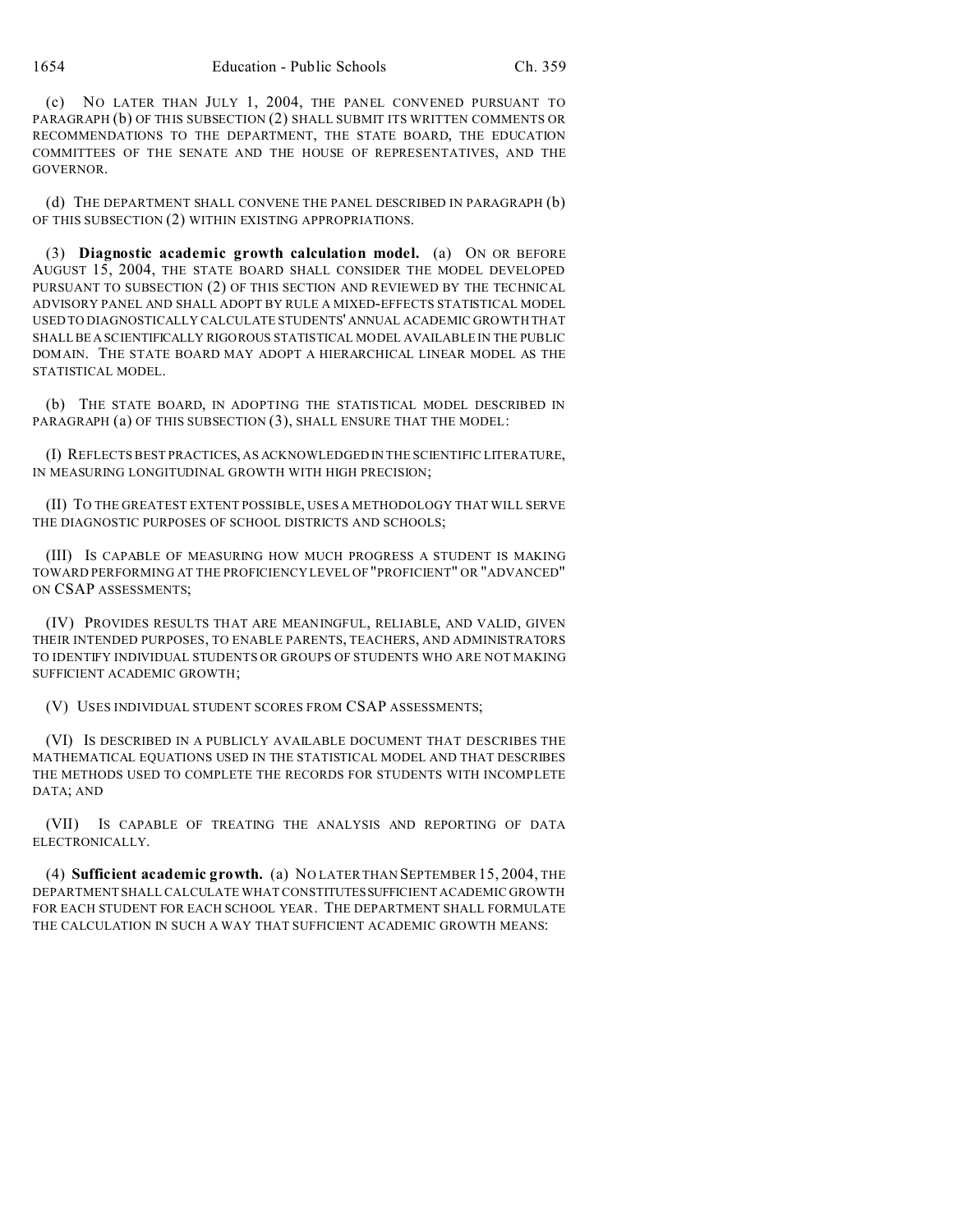(c) NO LATER THAN JULY 1, 2004, THE PANEL CONVENED PURSUANT TO PARAGRAPH (b) OF THIS SUBSECTION (2) SHALL SUBMIT ITS WRITTEN COMMENTS OR RECOMMENDATIONS TO THE DEPARTMENT, THE STATE BOARD, THE EDUCATION COMMITTEES OF THE SENATE AND THE HOUSE OF REPRESENTATIVES, AND THE GOVERNOR.

(d) THE DEPARTMENT SHALL CONVENE THE PANEL DESCRIBED IN PARAGRAPH (b) OF THIS SUBSECTION (2) WITHIN EXISTING APPROPRIATIONS.

(3) **Diagnostic academic growth calculation model.** (a) ON OR BEFORE AUGUST 15, 2004, THE STATE BOARD SHALL CONSIDER THE MODEL DEVELOPED PURSUANT TO SUBSECTION (2) OF THIS SECTION AND REVIEWED BY THE TECHNICAL ADVISORY PANEL AND SHALL ADOPT BY RULE A MIXED-EFFECTS STATISTICAL MODEL USED TO DIAGNOSTICALLY CALCULATE STUDENTS' ANNUAL ACADEMIC GROWTH THAT SHALL BE A SCIENTIFICALLY RIGOROUS STATISTICAL MODEL AVAILABLE IN THE PUBLIC DOMAIN. THE STATE BOARD MAY ADOPT A HIERARCHICAL LINEAR MODEL AS THE STATISTICAL MODEL.

(b) THE STATE BOARD, IN ADOPTING THE STATISTICAL MODEL DESCRIBED IN PARAGRAPH (a) OF THIS SUBSECTION (3), SHALL ENSURE THAT THE MODEL:

(I) REFLECTS BEST PRACTICES, AS ACKNOWLEDGED IN THE SCIENTIFIC LITERATURE, IN MEASURING LONGITUDINAL GROWTH WITH HIGH PRECISION;

(II) TO THE GREATEST EXTENT POSSIBLE, USES A METHODOLOGY THAT WILL SERVE THE DIAGNOSTIC PURPOSES OF SCHOOL DISTRICTS AND SCHOOLS;

(III) IS CAPABLE OF MEASURING HOW MUCH PROGRESS A STUDENT IS MAKING TOWARD PERFORMING AT THE PROFICIENCY LEVEL OF "PROFICIENT" OR "ADVANCED" ON CSAP ASSESSMENTS;

(IV) PROVIDES RESULTS THAT ARE MEANINGFUL, RELIABLE, AND VALID, GIVEN THEIR INTENDED PURPOSES, TO ENABLE PARENTS, TEACHERS, AND ADMINISTRATORS TO IDENTIFY INDIVIDUAL STUDENTS OR GROUPS OF STUDENTS WHO ARE NOT MAKING SUFFICIENT ACADEMIC GROWTH;

(V) USES INDIVIDUAL STUDENT SCORES FROM CSAP ASSESSMENTS;

(VI) IS DESCRIBED IN A PUBLICLY AVAILABLE DOCUMENT THAT DESCRIBES THE MATHEMATICAL EQUATIONS USED IN THE STATISTICAL MODEL AND THAT DESCRIBES THE METHODS USED TO COMPLETE THE RECORDS FOR STUDENTS WITH INCOMPLETE DATA; AND

(VII) IS CAPABLE OF TREATING THE ANALYSIS AND REPORTING OF DATA ELECTRONICALLY.

(4) **Sufficient academic growth.** (a) NO LATER THAN SEPTEMBER 15, 2004, THE DEPARTMENT SHALL CALCULATE WHAT CONSTITUTESSUFFICIENT ACADEMIC GROWTH FOR EACH STUDENT FOR EACH SCHOOL YEAR. THE DEPARTMENT SHALL FORMULATE THE CALCULATION IN SUCH A WAY THAT SUFFICIENT ACADEMIC GROWTH MEANS: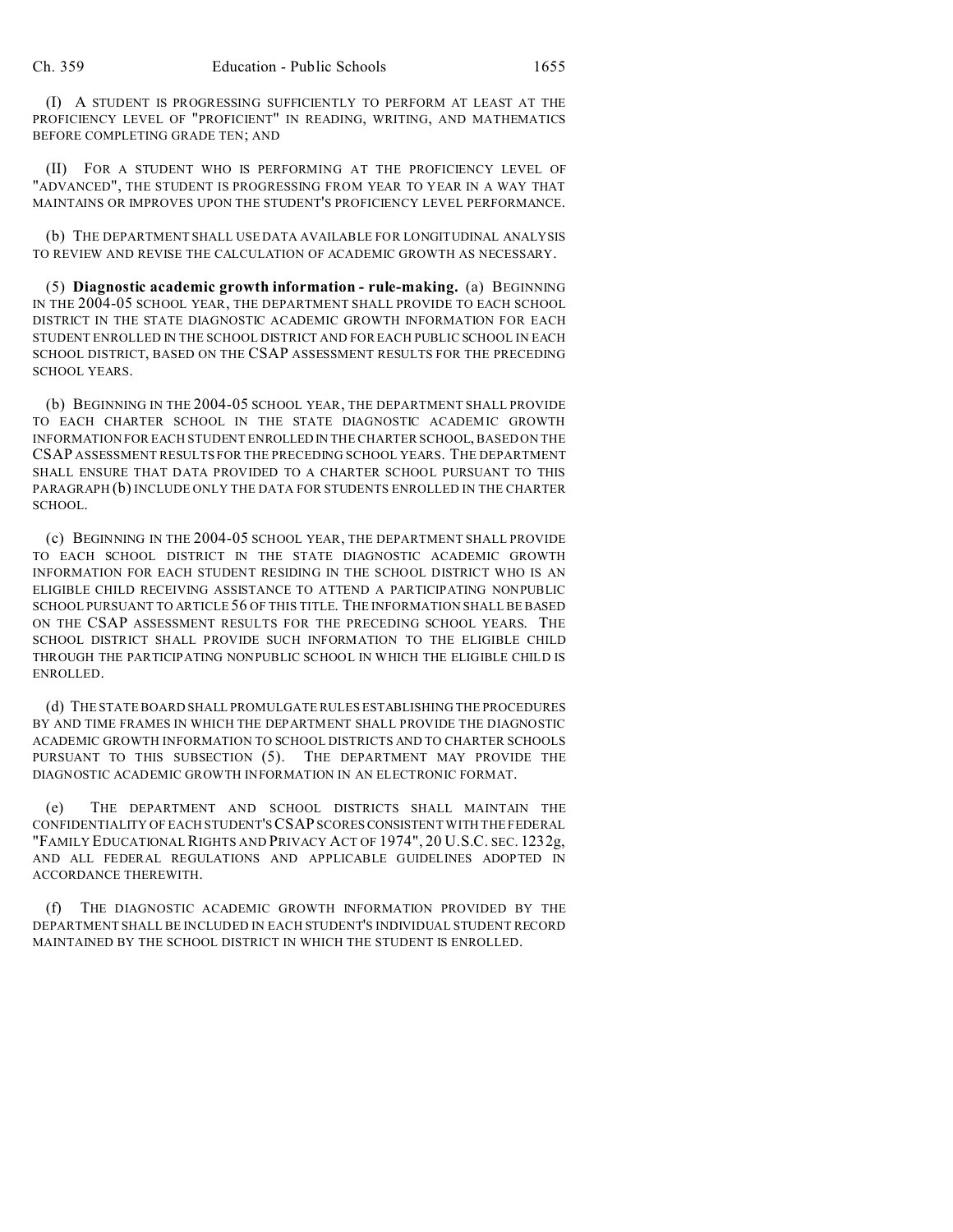(I) A STUDENT IS PROGRESSING SUFFICIENTLY TO PERFORM AT LEAST AT THE PROFICIENCY LEVEL OF "PROFICIENT" IN READING, WRITING, AND MATHEMATICS BEFORE COMPLETING GRADE TEN; AND

(II) FOR A STUDENT WHO IS PERFORMING AT THE PROFICIENCY LEVEL OF "ADVANCED", THE STUDENT IS PROGRESSING FROM YEAR TO YEAR IN A WAY THAT MAINTAINS OR IMPROVES UPON THE STUDENT'S PROFICIENCY LEVEL PERFORMANCE.

(b) THE DEPARTMENT SHALL USE DATA AVAILABLE FOR LONGITUDINAL ANALYSIS TO REVIEW AND REVISE THE CALCULATION OF ACADEMIC GROWTH AS NECESSARY.

(5) **Diagnostic academic growth information - rule-making.** (a) BEGINNING IN THE 2004-05 SCHOOL YEAR, THE DEPARTMENT SHALL PROVIDE TO EACH SCHOOL DISTRICT IN THE STATE DIAGNOSTIC ACADEMIC GROWTH INFORMATION FOR EACH STUDENT ENROLLED IN THE SCHOOL DISTRICT AND FOR EACH PUBLIC SCHOOL IN EACH SCHOOL DISTRICT, BASED ON THE CSAP ASSESSMENT RESULTS FOR THE PRECEDING SCHOOL YEARS.

(b) BEGINNING IN THE 2004-05 SCHOOL YEAR, THE DEPARTMENT SHALL PROVIDE TO EACH CHARTER SCHOOL IN THE STATE DIAGNOSTIC ACADEMIC GROWTH INFORMATION FOR EACH STUDENT ENROLLED IN THE CHARTER SCHOOL, BASED ON THE CSAP ASSESSMENT RESULTS FOR THE PRECEDING SCHOOL YEARS. THE DEPARTMENT SHALL ENSURE THAT DATA PROVIDED TO A CHARTER SCHOOL PURSUANT TO THIS PARAGRAPH (b) INCLUDE ONLY THE DATA FOR STUDENTS ENROLLED IN THE CHARTER SCHOOL.

(c) BEGINNING IN THE 2004-05 SCHOOL YEAR, THE DEPARTMENT SHALL PROVIDE TO EACH SCHOOL DISTRICT IN THE STATE DIAGNOSTIC ACADEMIC GROWTH INFORMATION FOR EACH STUDENT RESIDING IN THE SCHOOL DISTRICT WHO IS AN ELIGIBLE CHILD RECEIVING ASSISTANCE TO ATTEND A PARTICIPATING NONPUBLIC SCHOOL PURSUANT TO ARTICLE 56 OF THIS TITLE. THE INFORMATION SHALL BE BASED ON THE CSAP ASSESSMENT RESULTS FOR THE PRECEDING SCHOOL YEARS. THE SCHOOL DISTRICT SHALL PROVIDE SUCH INFORMATION TO THE ELIGIBLE CHILD THROUGH THE PARTICIPATING NONPUBLIC SCHOOL IN WHICH THE ELIGIBLE CHILD IS ENROLLED.

(d) THE STATE BOARD SHALL PROMULGATE RULES ESTABLISHING THE PROCEDURES BY AND TIME FRAMES IN WHICH THE DEPARTMENT SHALL PROVIDE THE DIAGNOSTIC ACADEMIC GROWTH INFORMATION TO SCHOOL DISTRICTS AND TO CHARTER SCHOOLS PURSUANT TO THIS SUBSECTION (5). THE DEPARTMENT MAY PROVIDE THE DIAGNOSTIC ACADEMIC GROWTH INFORMATION IN AN ELECTRONIC FORMAT.

(e) THE DEPARTMENT AND SCHOOL DISTRICTS SHALL MAINTAIN THE CONFIDENTIALITY OF EACH STUDENT'S CSAP SCORES CONSISTENT WITH THE FEDERAL "FAMILY EDUCATIONAL RIGHTS AND PRIVACY ACT OF 1974", 20 U.S.C. SEC. 1232g, AND ALL FEDERAL REGULATIONS AND APPLICABLE GUIDELINES ADOPTED IN ACCORDANCE THEREWITH.

(f) THE DIAGNOSTIC ACADEMIC GROWTH INFORMATION PROVIDED BY THE DEPARTMENT SHALL BE INCLUDED IN EACH STUDENT'S INDIVIDUAL STUDENT RECORD MAINTAINED BY THE SCHOOL DISTRICT IN WHICH THE STUDENT IS ENROLLED.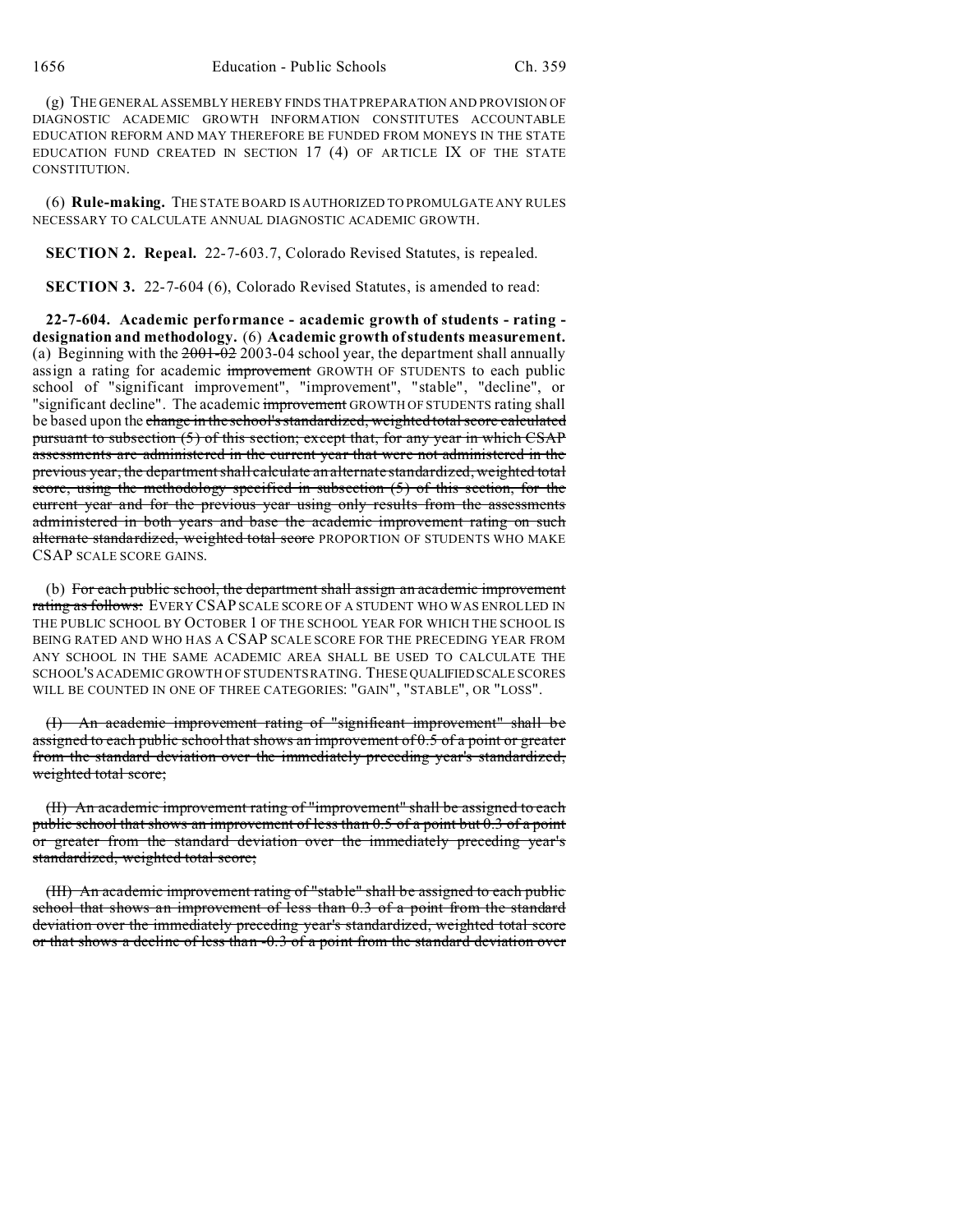(g) THE GENERAL ASSEMBLY HEREBY FINDS THAT PREPARATION AND PROVISION OF DIAGNOSTIC ACADEMIC GROWTH INFORMATION CONSTITUTES ACCOUNTABLE EDUCATION REFORM AND MAY THEREFORE BE FUNDED FROM MONEYS IN THE STATE EDUCATION FUND CREATED IN SECTION  $17$  (4) OF ARTICLE IX OF THE STATE CONSTITUTION.

(6) **Rule-making.** THE STATE BOARD IS AUTHORIZED TO PROMULGATE ANY RULES NECESSARY TO CALCULATE ANNUAL DIAGNOSTIC ACADEMIC GROWTH.

**SECTION 2. Repeal.** 22-7-603.7, Colorado Revised Statutes, is repealed.

**SECTION 3.** 22-7-604 (6), Colorado Revised Statutes, is amended to read:

**22-7-604. Academic performance - academic growth of students - rating designation and methodology.** (6) **Academic growth of students measurement.** (a) Beginning with the  $2001-022003-04$  school year, the department shall annually assign a rating for academic improvement GROWTH OF STUDENTS to each public school of "significant improvement", "improvement", "stable", "decline", or "significant decline". The academic improvement GROWTH OF STUDENTS rating shall be based upon the change in the school's standardized, weighted total score calculated pursuant to subsection (5) of this section; except that, for any year in which CSAP assessments are administered in the current year that were not administered in the previous year, the department shall calculate an alternate standardized, weighted total score, using the methodology specified in subsection (5) of this section, for the current year and for the previous year using only results from the assessments administered in both years and base the academic improvement rating on such alternate standardized, weighted total score PROPORTION OF STUDENTS WHO MAKE CSAP SCALE SCORE GAINS.

(b) For each public school, the department shall assign an academic improvement rating as follows: EVERY CSAP SCALE SCORE OF A STUDENT WHO WAS ENROLLED IN THE PUBLIC SCHOOL BY OCTOBER 1 OF THE SCHOOL YEAR FOR WHICH THE SCHOOL IS BEING RATED AND WHO HAS A CSAP SCALE SCORE FOR THE PRECEDING YEAR FROM ANY SCHOOL IN THE SAME ACADEMIC AREA SHALL BE USED TO CALCULATE THE SCHOOL'S ACADEMIC GROWTH OF STUDENTS RATING. THESE QUALIFIEDSCALE SCORES WILL BE COUNTED IN ONE OF THREE CATEGORIES: "GAIN", "STABLE", OR "LOSS".

An academic improvement rating of "significant improvement" shall be assigned to each public school that shows an improvement of 0.5 of a point or greater from the standard deviation over the immediately preceding year's standardized, weighted total score;

(II) An academic improvement rating of "improvement" shall be assigned to each public school that shows an improvement of less than 0.5 of a point but 0.3 of a point or greater from the standard deviation over the immediately preceding year's standardized, weighted total score;

(III) An academic improvement rating of "stable" shall be assigned to each public school that shows an improvement of less than 0.3 of a point from the standard deviation over the immediately preceding year's standardized, weighted total score or that shows a decline of less than -0.3 of a point from the standard deviation over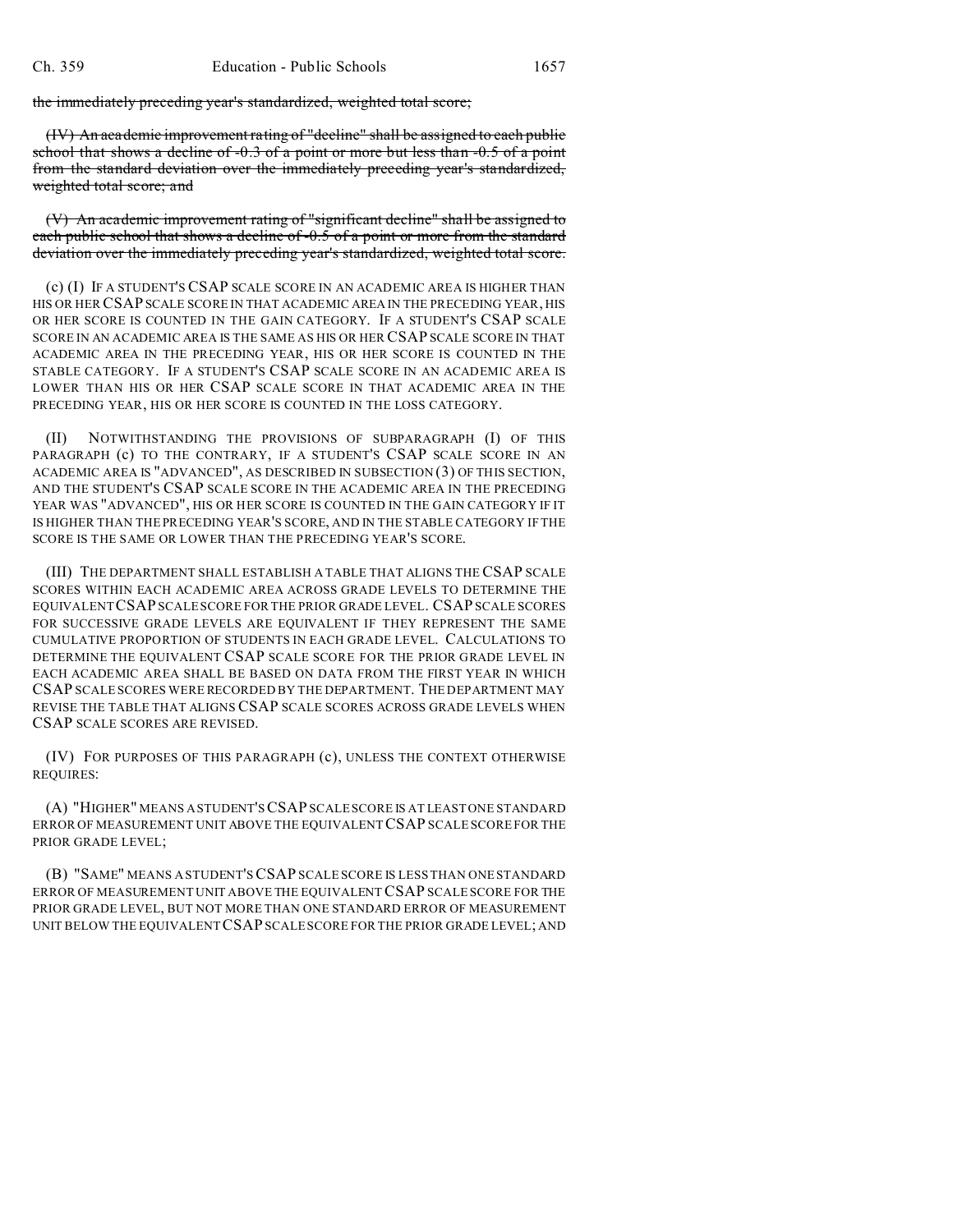the immediately preceding year's standardized, weighted total score;

(IV) An academic improvement rating of "decline" shall be assigned to each public school that shows a decline of -0.3 of a point or more but less than -0.5 of a point from the standard deviation over the immediately preceding year's standardized, weighted total score; and

(V) An academic improvement rating of "significant decline" shall be assigned to each public school that shows a decline of -0.5 of a point or more from the standard deviation over the immediately preceding year's standardized, weighted total score.

(c) (I) IF A STUDENT'S CSAP SCALE SCORE IN AN ACADEMIC AREA IS HIGHER THAN HIS OR HER CSAP SCALE SCORE IN THAT ACADEMIC AREA IN THE PRECEDING YEAR, HIS OR HER SCORE IS COUNTED IN THE GAIN CATEGORY. IF A STUDENT'S CSAP SCALE SCORE IN AN ACADEMIC AREA IS THE SAME AS HIS OR HER CSAP SCALE SCORE IN THAT ACADEMIC AREA IN THE PRECEDING YEAR, HIS OR HER SCORE IS COUNTED IN THE STABLE CATEGORY. IF A STUDENT'S CSAP SCALE SCORE IN AN ACADEMIC AREA IS LOWER THAN HIS OR HER CSAP SCALE SCORE IN THAT ACADEMIC AREA IN THE PRECEDING YEAR, HIS OR HER SCORE IS COUNTED IN THE LOSS CATEGORY.

(II) NOTWITHSTANDING THE PROVISIONS OF SUBPARAGRAPH (I) OF THIS PARAGRAPH (c) TO THE CONTRARY, IF A STUDENT'S CSAP SCALE SCORE IN AN ACADEMIC AREA IS "ADVANCED", AS DESCRIBED IN SUBSECTION (3) OF THIS SECTION, AND THE STUDENT'S CSAP SCALE SCORE IN THE ACADEMIC AREA IN THE PRECEDING YEAR WAS "ADVANCED", HIS OR HER SCORE IS COUNTED IN THE GAIN CATEGORY IF IT IS HIGHER THAN THE PRECEDING YEAR'S SCORE, AND IN THE STABLE CATEGORY IF THE SCORE IS THE SAME OR LOWER THAN THE PRECEDING YEAR'S SCORE.

(III) THE DEPARTMENT SHALL ESTABLISH A TABLE THAT ALIGNS THE CSAP SCALE SCORES WITHIN EACH ACADEMIC AREA ACROSS GRADE LEVELS TO DETERMINE THE EQUIVALENTCSAP SCALE SCORE FOR THE PRIOR GRADE LEVEL. CSAP SCALE SCORES FOR SUCCESSIVE GRADE LEVELS ARE EQUIVALENT IF THEY REPRESENT THE SAME CUMULATIVE PROPORTION OF STUDENTS IN EACH GRADE LEVEL. CALCULATIONS TO DETERMINE THE EQUIVALENT CSAP SCALE SCORE FOR THE PRIOR GRADE LEVEL IN EACH ACADEMIC AREA SHALL BE BASED ON DATA FROM THE FIRST YEAR IN WHICH CSAP SCALE SCORES WERE RECORDED BY THE DEPARTMENT. THE DEPARTMENT MAY REVISE THE TABLE THAT ALIGNS CSAP SCALE SCORES ACROSS GRADE LEVELS WHEN CSAP SCALE SCORES ARE REVISED.

(IV) FOR PURPOSES OF THIS PARAGRAPH (c), UNLESS THE CONTEXT OTHERWISE REQUIRES:

(A) "HIGHER" MEANS A STUDENT'S CSAP SCALE SCORE IS AT LEAST ONE STANDARD ERROR OF MEASUREMENT UNIT ABOVE THE EQUIVALENT CSAP SCALE SCORE FOR THE PRIOR GRADE LEVEL;

(B) "SAME" MEANS A STUDENT'S CSAP SCALE SCORE IS LESS THAN ONE STANDARD ERROR OF MEASUREMENT UNIT ABOVE THE EQUIVALENT CSAP SCALE SCORE FOR THE PRIOR GRADE LEVEL, BUT NOT MORE THAN ONE STANDARD ERROR OF MEASUREMENT UNIT BELOW THE EQUIVALENT CSAP SCALE SCORE FOR THE PRIOR GRADE LEVEL; AND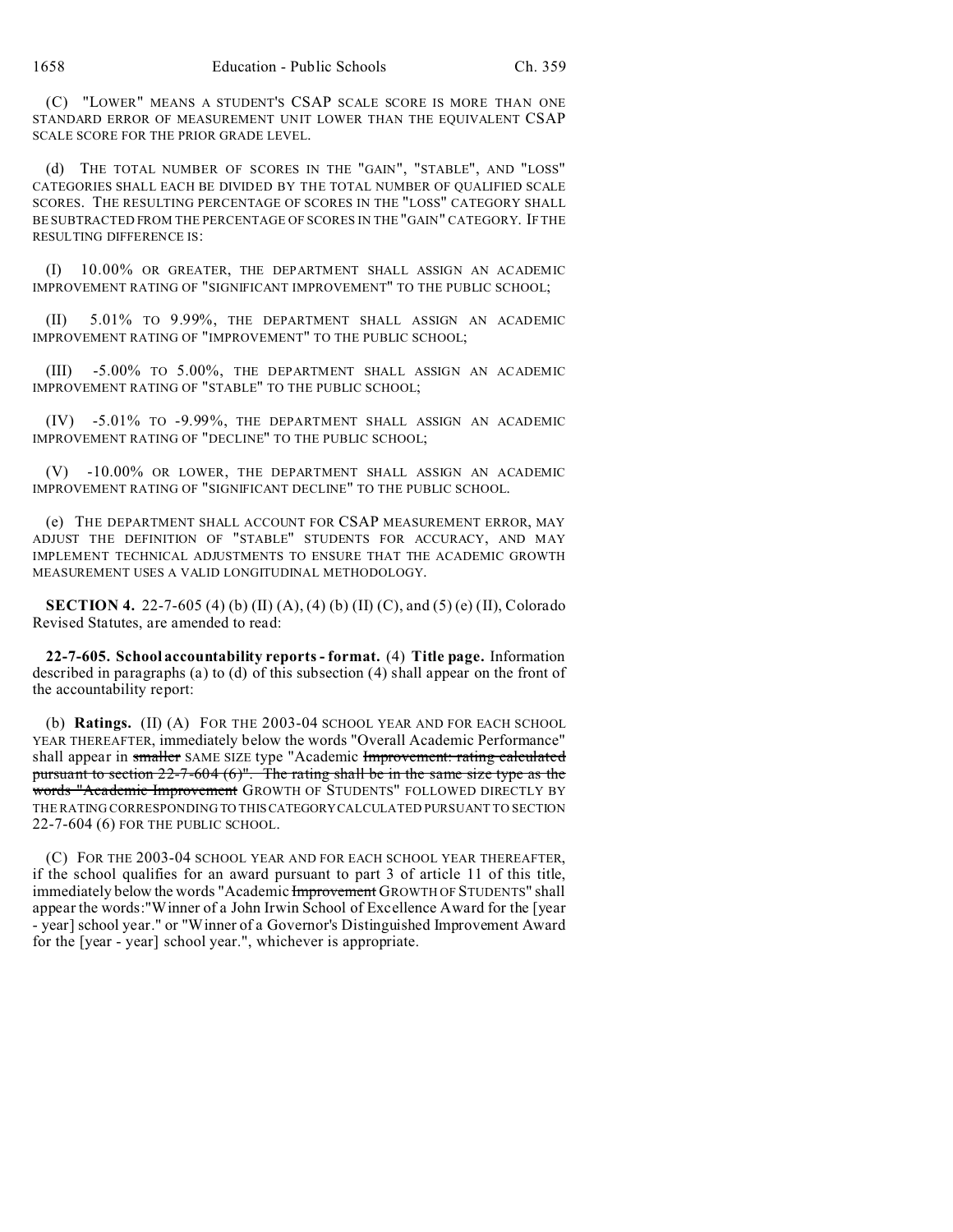(C) "LOWER" MEANS A STUDENT'S CSAP SCALE SCORE IS MORE THAN ONE STANDARD ERROR OF MEASUREMENT UNIT LOWER THAN THE EQUIVALENT CSAP SCALE SCORE FOR THE PRIOR GRADE LEVEL.

(d) THE TOTAL NUMBER OF SCORES IN THE "GAIN", "STABLE", AND "LOSS" CATEGORIES SHALL EACH BE DIVIDED BY THE TOTAL NUMBER OF QUALIFIED SCALE SCORES. THE RESULTING PERCENTAGE OF SCORES IN THE "LOSS" CATEGORY SHALL BE SUBTRACTED FROM THE PERCENTAGE OF SCORES IN THE "GAIN" CATEGORY. IF THE RESULTING DIFFERENCE IS:

(I) 10.00% OR GREATER, THE DEPARTMENT SHALL ASSIGN AN ACADEMIC IMPROVEMENT RATING OF "SIGNIFICANT IMPROVEMENT" TO THE PUBLIC SCHOOL;

(II) 5.01% TO 9.99%, THE DEPARTMENT SHALL ASSIGN AN ACADEMIC IMPROVEMENT RATING OF "IMPROVEMENT" TO THE PUBLIC SCHOOL;

(III) -5.00% TO 5.00%, THE DEPARTMENT SHALL ASSIGN AN ACADEMIC IMPROVEMENT RATING OF "STABLE" TO THE PUBLIC SCHOOL;

(IV) -5.01% TO -9.99%, THE DEPARTMENT SHALL ASSIGN AN ACADEMIC IMPROVEMENT RATING OF "DECLINE" TO THE PUBLIC SCHOOL;

(V) -10.00% OR LOWER, THE DEPARTMENT SHALL ASSIGN AN ACADEMIC IMPROVEMENT RATING OF "SIGNIFICANT DECLINE" TO THE PUBLIC SCHOOL.

(e) THE DEPARTMENT SHALL ACCOUNT FOR CSAP MEASUREMENT ERROR, MAY ADJUST THE DEFINITION OF "STABLE" STUDENTS FOR ACCURACY, AND MAY IMPLEMENT TECHNICAL ADJUSTMENTS TO ENSURE THAT THE ACADEMIC GROWTH MEASUREMENT USES A VALID LONGITUDINAL METHODOLOGY.

**SECTION 4.** 22-7-605 (4) (b) (II) (A), (4) (b) (II) (C), and (5) (e) (II), Colorado Revised Statutes, are amended to read:

**22-7-605. School accountability reports - format.** (4) **Title page.** Information described in paragraphs (a) to (d) of this subsection (4) shall appear on the front of the accountability report:

(b) **Ratings.** (II) (A) FOR THE 2003-04 SCHOOL YEAR AND FOR EACH SCHOOL YEAR THEREAFTER, immediately below the words "Overall Academic Performance" shall appear in smaller SAME SIZE type "Academic Improvement: rating calculated pursuant to section 22-7-604 (6)". The rating shall be in the same size type as the words "Academic Improvement GROWTH OF STUDENTS" FOLLOWED DIRECTLY BY THE RATING CORRESPONDING TO THISCATEGORYCALCULATED PURSUANT TO SECTION 22-7-604 (6) FOR THE PUBLIC SCHOOL.

(C) FOR THE 2003-04 SCHOOL YEAR AND FOR EACH SCHOOL YEAR THEREAFTER, if the school qualifies for an award pursuant to part 3 of article 11 of this title, immediately below the words "Academic Improvement GROWTH OF STUDENTS" shall appear the words:"Winner of a John Irwin School of Excellence Award for the [year - year] school year." or "Winner of a Governor's Distinguished Improvement Award for the [year - year] school year.", whichever is appropriate.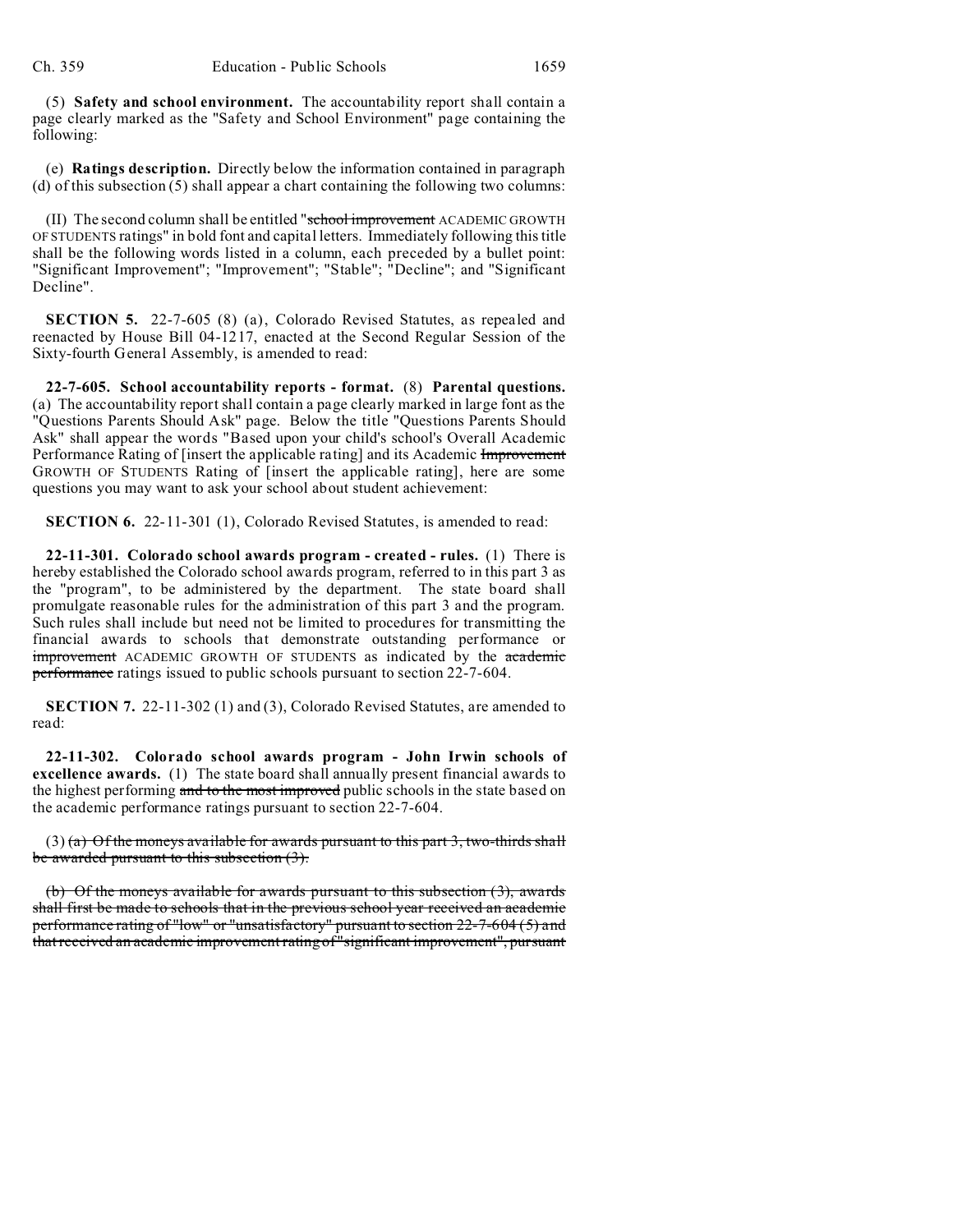(5) **Safety and school environment.** The accountability report shall contain a page clearly marked as the "Safety and School Environment" page containing the following:

(e) **Ratings description.** Directly below the information contained in paragraph (d) of this subsection (5) shall appear a chart containing the following two columns:

(II) The second column shall be entitled "school improvement ACADEMIC GROWTH OF STUDENTS ratings" in bold font and capital letters. Immediately following this title shall be the following words listed in a column, each preceded by a bullet point: "Significant Improvement"; "Improvement"; "Stable"; "Decline"; and "Significant Decline".

**SECTION 5.** 22-7-605 (8) (a), Colorado Revised Statutes, as repealed and reenacted by House Bill 04-1217, enacted at the Second Regular Session of the Sixty-fourth General Assembly, is amended to read:

**22-7-605. School accountability reports - format.** (8) **Parental questions.** (a) The accountability report shall contain a page clearly marked in large font as the "Questions Parents Should Ask" page. Below the title "Questions Parents Should Ask" shall appear the words "Based upon your child's school's Overall Academic Performance Rating of [insert the applicable rating] and its Academic Improvement GROWTH OF STUDENTS Rating of [insert the applicable rating], here are some questions you may want to ask your school about student achievement:

**SECTION 6.** 22-11-301 (1), Colorado Revised Statutes, is amended to read:

**22-11-301. Colorado school awards program - created - rules.** (1) There is hereby established the Colorado school awards program, referred to in this part 3 as the "program", to be administered by the department. The state board shall promulgate reasonable rules for the administration of this part 3 and the program. Such rules shall include but need not be limited to procedures for transmitting the financial awards to schools that demonstrate outstanding performance or **improvement** ACADEMIC GROWTH OF STUDENTS as indicated by the **academic** performance ratings issued to public schools pursuant to section 22-7-604.

**SECTION 7.** 22-11-302 (1) and (3), Colorado Revised Statutes, are amended to read:

**22-11-302. Colorado school awards program - John Irwin schools of excellence awards.** (1) The state board shall annually present financial awards to the highest performing and to the most improved public schools in the state based on the academic performance ratings pursuant to section 22-7-604.

 $(3)$  (a) Of the moneys available for awards pursuant to this part 3, two-thirds shall be awarded pursuant to this subsection (3).

(b) Of the moneys available for awards pursuant to this subsection (3), awards shall first be made to schools that in the previous school year received an academic performance rating of "low" or "unsatisfactory" pursuant to section 22-7-604 (5) and that received an academic improvement rating of "significant improvement", pursuant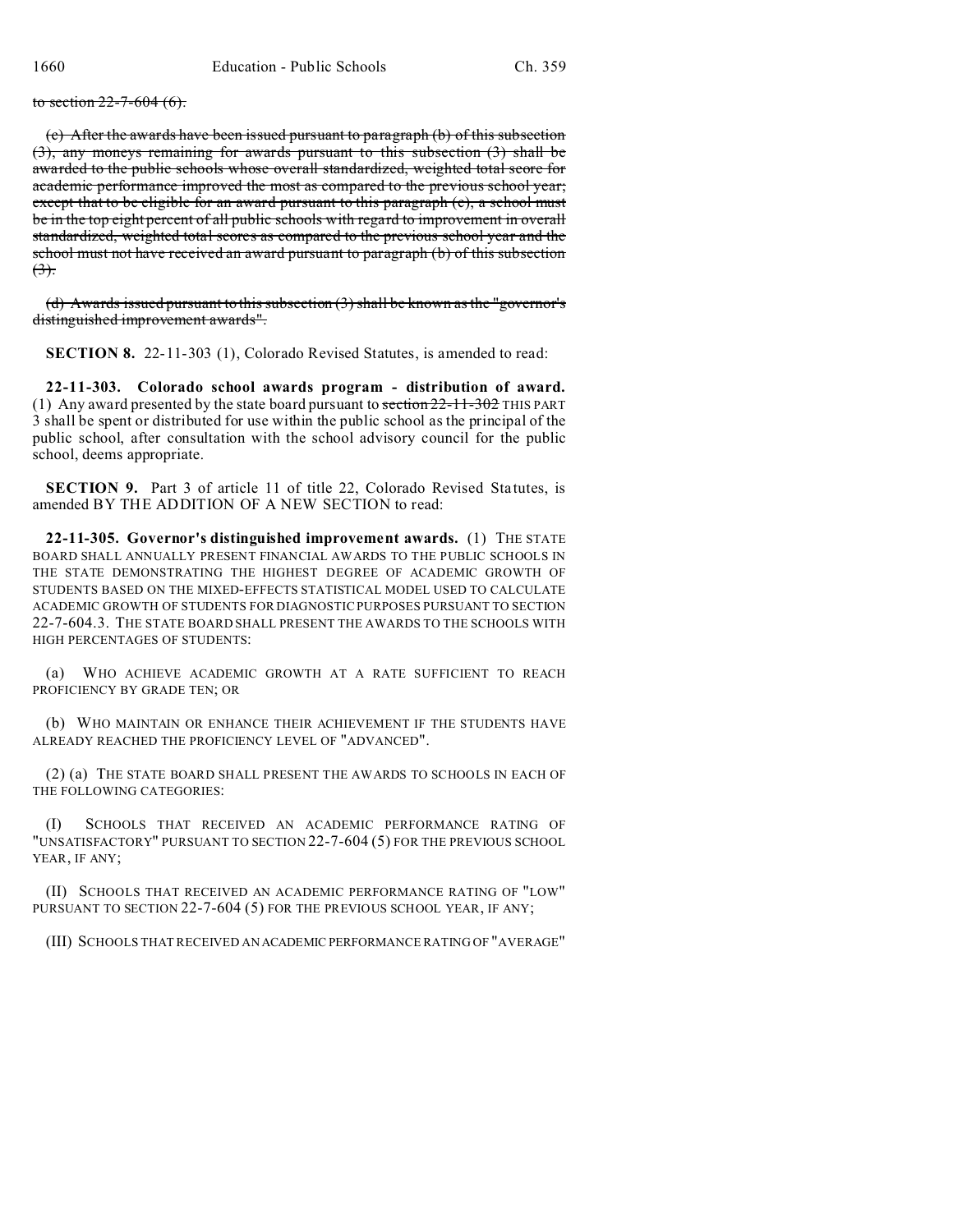to section  $22 - 7 - 604$  (6).

(c) After the awards have been issued pursuant to paragraph (b) of this subsection (3), any moneys remaining for awards pursuant to this subsection (3) shall be awarded to the public schools whose overall standardized, weighted total score for academic performance improved the most as compared to the previous school year; except that to be eligible for an award pursuant to this paragraph (e), a school must be in the top eight percent of all public schools with regard to improvement in overall standardized, weighted total scores as compared to the previous school year and the school must not have received an award pursuant to paragraph (b) of this subsection  $(3)$ .

(d) Awards issued pursuant to this subsection (3) shall be known as the "governor's distinguished improvement awards".

**SECTION 8.** 22-11-303 (1), Colorado Revised Statutes, is amended to read:

**22-11-303. Colorado school awards program - distribution of award.** (1) Any award presented by the state board pursuant to  $\frac{\pi}{22-11-302}$  THIS PART 3 shall be spent or distributed for use within the public school as the principal of the public school, after consultation with the school advisory council for the public school, deems appropriate.

**SECTION 9.** Part 3 of article 11 of title 22, Colorado Revised Statutes, is amended BY THE ADDITION OF A NEW SECTION to read:

**22-11-305. Governor's distinguished improvement awards.** (1) THE STATE BOARD SHALL ANNUALLY PRESENT FINANCIAL AWARDS TO THE PUBLIC SCHOOLS IN THE STATE DEMONSTRATING THE HIGHEST DEGREE OF ACADEMIC GROWTH OF STUDENTS BASED ON THE MIXED-EFFECTS STATISTICAL MODEL USED TO CALCULATE ACADEMIC GROWTH OF STUDENTS FOR DIAGNOSTIC PURPOSES PURSUANT TO SECTION 22-7-604.3. THE STATE BOARD SHALL PRESENT THE AWARDS TO THE SCHOOLS WITH HIGH PERCENTAGES OF STUDENTS:

(a) WHO ACHIEVE ACADEMIC GROWTH AT A RATE SUFFICIENT TO REACH PROFICIENCY BY GRADE TEN; OR

(b) WHO MAINTAIN OR ENHANCE THEIR ACHIEVEMENT IF THE STUDENTS HAVE ALREADY REACHED THE PROFICIENCY LEVEL OF "ADVANCED".

(2) (a) THE STATE BOARD SHALL PRESENT THE AWARDS TO SCHOOLS IN EACH OF THE FOLLOWING CATEGORIES:

(I) SCHOOLS THAT RECEIVED AN ACADEMIC PERFORMANCE RATING OF "UNSATISFACTORY" PURSUANT TO SECTION 22-7-604 (5) FOR THE PREVIOUS SCHOOL YEAR, IF ANY;

(II) SCHOOLS THAT RECEIVED AN ACADEMIC PERFORMANCE RATING OF "LOW" PURSUANT TO SECTION 22-7-604 (5) FOR THE PREVIOUS SCHOOL YEAR, IF ANY;

(III) SCHOOLS THAT RECEIVED AN ACADEMIC PERFORMANCE RATING OF "AVERAGE"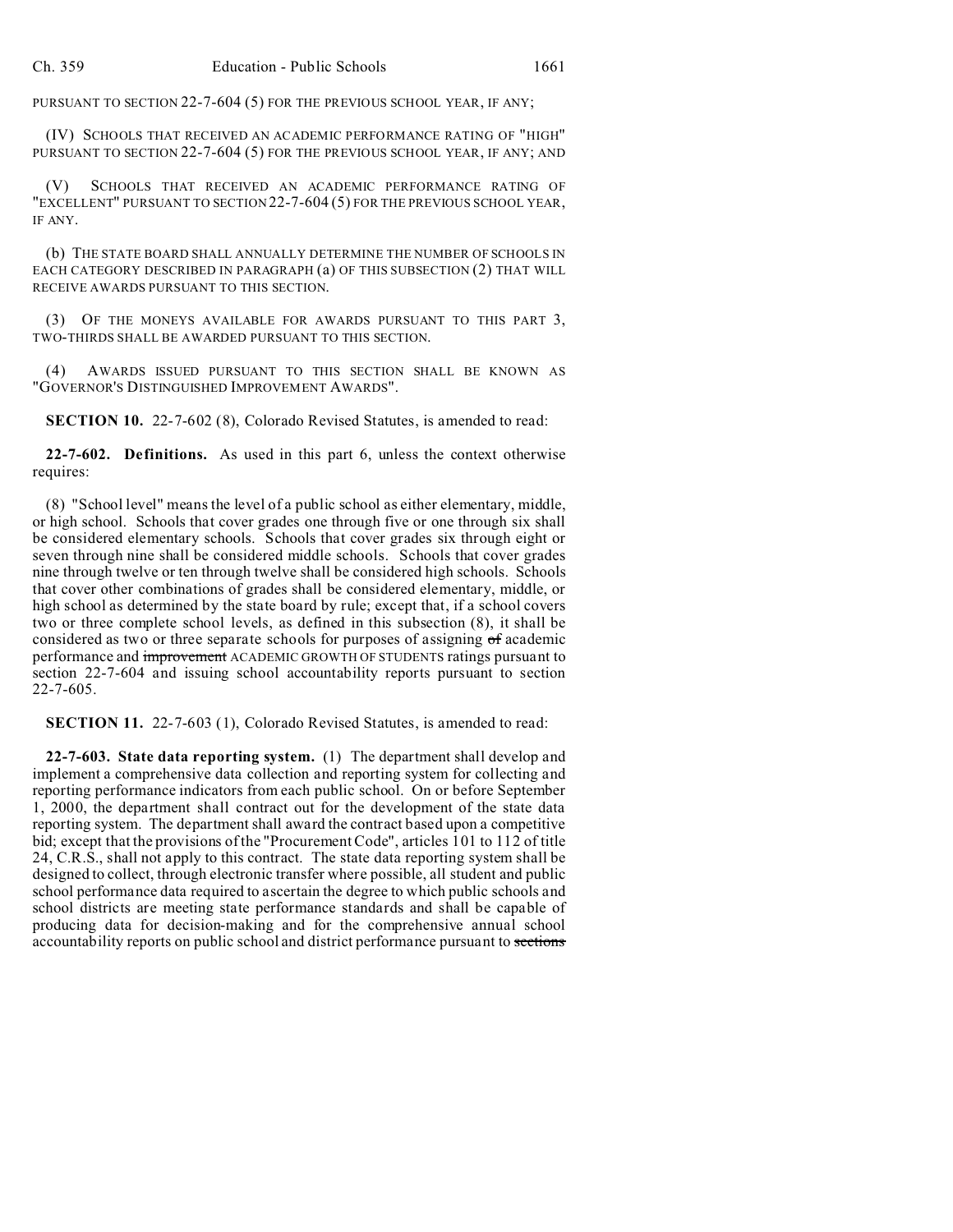PURSUANT TO SECTION 22-7-604 (5) FOR THE PREVIOUS SCHOOL YEAR, IF ANY;

(IV) SCHOOLS THAT RECEIVED AN ACADEMIC PERFORMANCE RATING OF "HIGH" PURSUANT TO SECTION 22-7-604 (5) FOR THE PREVIOUS SCHOOL YEAR, IF ANY; AND

(V) SCHOOLS THAT RECEIVED AN ACADEMIC PERFORMANCE RATING OF "EXCELLENT" PURSUANT TO SECTION 22-7-604 (5) FOR THE PREVIOUS SCHOOL YEAR, IF ANY.

(b) THE STATE BOARD SHALL ANNUALLY DETERMINE THE NUMBER OF SCHOOLS IN EACH CATEGORY DESCRIBED IN PARAGRAPH (a) OF THIS SUBSECTION (2) THAT WILL RECEIVE AWARDS PURSUANT TO THIS SECTION.

(3) OF THE MONEYS AVAILABLE FOR AWARDS PURSUANT TO THIS PART 3, TWO-THIRDS SHALL BE AWARDED PURSUANT TO THIS SECTION.

(4) AWARDS ISSUED PURSUANT TO THIS SECTION SHALL BE KNOWN AS "GOVERNOR'S DISTINGUISHED IMPROVEMENT AWARDS".

**SECTION 10.** 22-7-602 (8), Colorado Revised Statutes, is amended to read:

**22-7-602. Definitions.** As used in this part 6, unless the context otherwise requires:

(8) "School level" means the level of a public school as either elementary, middle, or high school. Schools that cover grades one through five or one through six shall be considered elementary schools. Schools that cover grades six through eight or seven through nine shall be considered middle schools. Schools that cover grades nine through twelve or ten through twelve shall be considered high schools. Schools that cover other combinations of grades shall be considered elementary, middle, or high school as determined by the state board by rule; except that, if a school covers two or three complete school levels, as defined in this subsection (8), it shall be considered as two or three separate schools for purposes of assigning of academic performance and improvement ACADEMIC GROWTH OF STUDENTS ratings pursuant to section 22-7-604 and issuing school accountability reports pursuant to section 22-7-605.

**SECTION 11.** 22-7-603 (1), Colorado Revised Statutes, is amended to read:

**22-7-603. State data reporting system.** (1) The department shall develop and implement a comprehensive data collection and reporting system for collecting and reporting performance indicators from each public school. On or before September 1, 2000, the department shall contract out for the development of the state data reporting system. The department shall award the contract based upon a competitive bid; except that the provisions of the "Procurement Code", articles 101 to 112 of title 24, C.R.S., shall not apply to this contract. The state data reporting system shall be designed to collect, through electronic transfer where possible, all student and public school performance data required to ascertain the degree to which public schools and school districts are meeting state performance standards and shall be capable of producing data for decision-making and for the comprehensive annual school accountability reports on public school and district performance pursuant to sections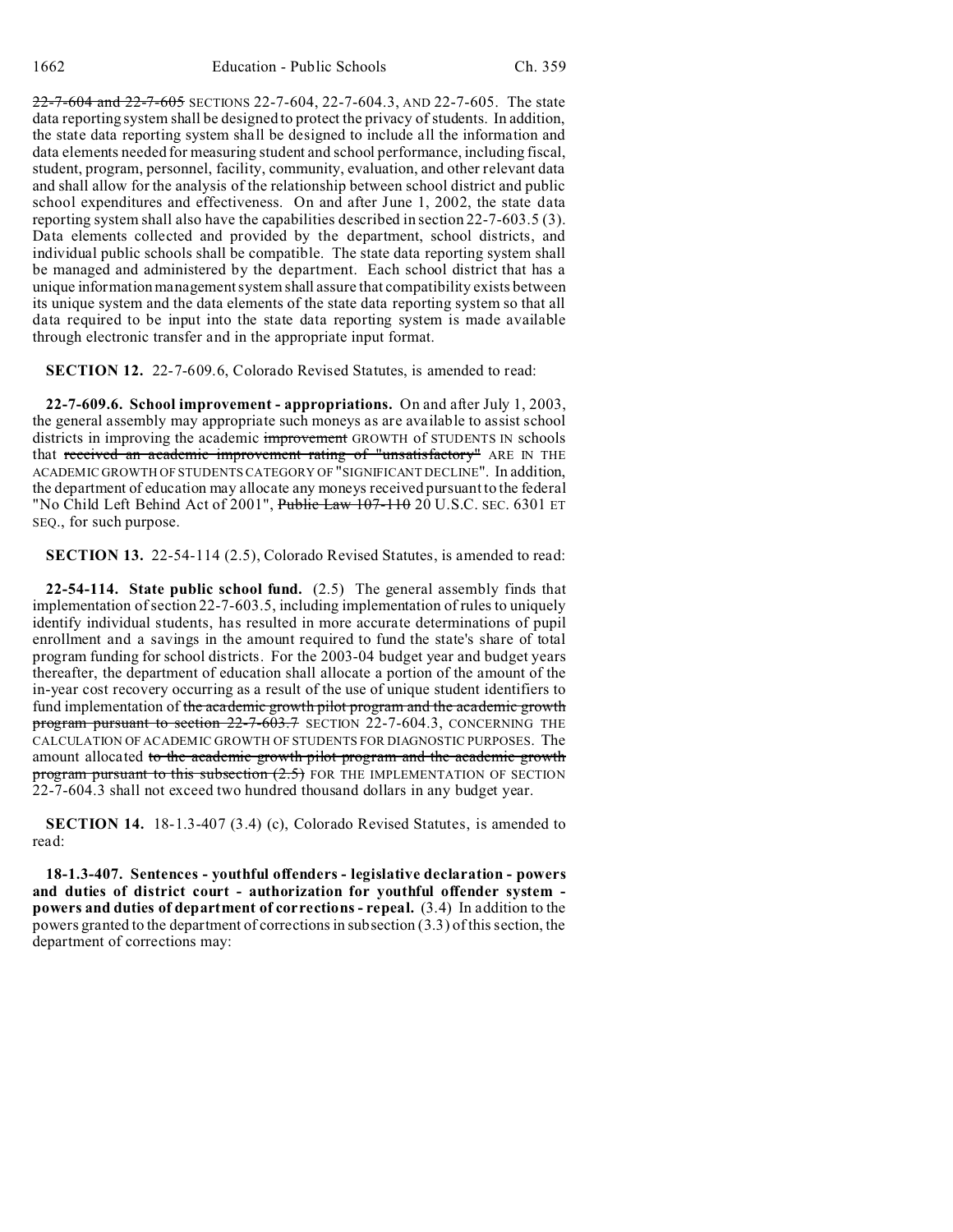22-7-604 and 22-7-605 SECTIONS 22-7-604, 22-7-604.3, AND 22-7-605. The state data reporting system shall be designed to protect the privacy of students. In addition, the state data reporting system shall be designed to include all the information and data elements needed for measuring student and school performance, including fiscal, student, program, personnel, facility, community, evaluation, and other relevant data and shall allow for the analysis of the relationship between school district and public school expenditures and effectiveness. On and after June 1, 2002, the state data reporting system shall also have the capabilities described in section 22-7-603.5 (3). Data elements collected and provided by the department, school districts, and individual public schools shall be compatible. The state data reporting system shall be managed and administered by the department. Each school district that has a unique information management system shall assure that compatibility exists between its unique system and the data elements of the state data reporting system so that all data required to be input into the state data reporting system is made available through electronic transfer and in the appropriate input format.

**SECTION 12.** 22-7-609.6, Colorado Revised Statutes, is amended to read:

**22-7-609.6. School improvement - appropriations.** On and after July 1, 2003, the general assembly may appropriate such moneys as are available to assist school districts in improving the academic improvement GROWTH of STUDENTS IN schools that received an academic improvement rating of "unsatisfactory" ARE IN THE ACADEMIC GROWTH OF STUDENTS CATEGORY OF "SIGNIFICANT DECLINE". In addition, the department of education may allocate any moneys received pursuant to the federal "No Child Left Behind Act of 2001", Public Law 107-110 20 U.S.C. SEC. 6301 ET SEQ., for such purpose.

**SECTION 13.** 22-54-114 (2.5), Colorado Revised Statutes, is amended to read:

**22-54-114. State public school fund.** (2.5) The general assembly finds that implementation of section 22-7-603.5, including implementation of rules to uniquely identify individual students, has resulted in more accurate determinations of pupil enrollment and a savings in the amount required to fund the state's share of total program funding for school districts. For the 2003-04 budget year and budget years thereafter, the department of education shall allocate a portion of the amount of the in-year cost recovery occurring as a result of the use of unique student identifiers to fund implementation of the academic growth pilot program and the academic growth program pursuant to section  $22$ -7-603.7</del> SECTION 22-7-604.3, CONCERNING THE CALCULATION OF ACADEMIC GROWTH OF STUDENTS FOR DIAGNOSTIC PURPOSES. The amount allocated to the academic growth pilot program and the academic growth program pursuant to this subsection (2.5) FOR THE IMPLEMENTATION OF SECTION 22-7-604.3 shall not exceed two hundred thousand dollars in any budget year.

**SECTION 14.** 18-1.3-407 (3.4) (c), Colorado Revised Statutes, is amended to read:

**18-1.3-407. Sentences - youthful offenders - legislative declaration - powers and duties of district court - authorization for youthful offender system powers and duties of department of corrections - repeal.** (3.4) In addition to the powers granted to the department of corrections in subsection (3.3) of this section, the department of corrections may: